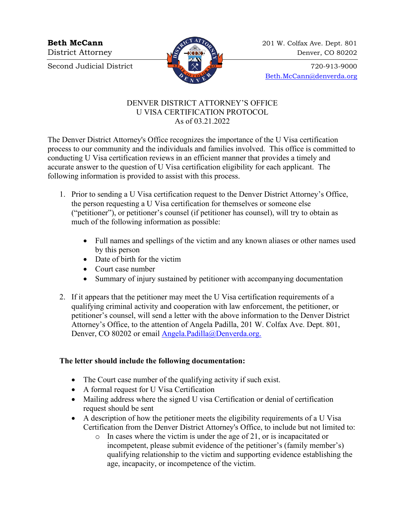Second Judicial District  $\begin{array}{c} \begin{array}{c} \hline \end{array} \end{array}$   $\begin{array}{c} \hline \end{array}$   $\begin{array}{c} \hline \end{array}$   $\begin{array}{c} \hline \end{array}$   $\begin{array}{c} \hline \end{array}$   $\begin{array}{c} \hline \end{array}$   $\begin{array}{c} \hline \end{array}$   $\begin{array}{c} \hline \end{array}$   $\begin{array}{c} \hline \end{array}$   $\begin{array}{c} \hline \end{array}$   $\begin{$ 



**Beth McCann** 201 W. Colfax Ave. Dept. 801 District Attorney 22 and 22 and 23 Denver, CO 80202

[Beth.McCann@denverda.org](mailto:Beth.McCann@denverda.org)

## DENVER DISTRICT ATTORNEY'S OFFICE U VISA CERTIFICATION PROTOCOL As of 03.21.2022

The Denver District Attorney's Office recognizes the importance of the U Visa certification process to our community and the individuals and families involved. This office is committed to conducting U Visa certification reviews in an efficient manner that provides a timely and accurate answer to the question of U Visa certification eligibility for each applicant. The following information is provided to assist with this process.

- 1. Prior to sending a U Visa certification request to the Denver District Attorney's Office, the person requesting a U Visa certification for themselves or someone else ("petitioner"), or petitioner's counsel (if petitioner has counsel), will try to obtain as much of the following information as possible:
	- Full names and spellings of the victim and any known aliases or other names used by this person
	- Date of birth for the victim
	- Court case number
	- Summary of injury sustained by petitioner with accompanying documentation
- 2. If it appears that the petitioner may meet the U Visa certification requirements of a qualifying criminal activity and cooperation with law enforcement, the petitioner, or petitioner's counsel, will send a letter with the above information to the Denver District Attorney's Office, to the attention of Angela Padilla, 201 W. Colfax Ave. Dept. 801, Denver, CO 80202 or email [Angela.Padilla@Denverda.org.](mailto:Angela.Padilla@Denverda.org)

## **The letter should include the following documentation:**

- The Court case number of the qualifying activity if such exist.
- A formal request for U Visa Certification
- Mailing address where the signed U visa Certification or denial of certification request should be sent
- A description of how the petitioner meets the eligibility requirements of a U Visa Certification from the Denver District Attorney's Office, to include but not limited to:
	- o In cases where the victim is under the age of 21, or is incapacitated or incompetent, please submit evidence of the petitioner's (family member's) qualifying relationship to the victim and supporting evidence establishing the age, incapacity, or incompetence of the victim.